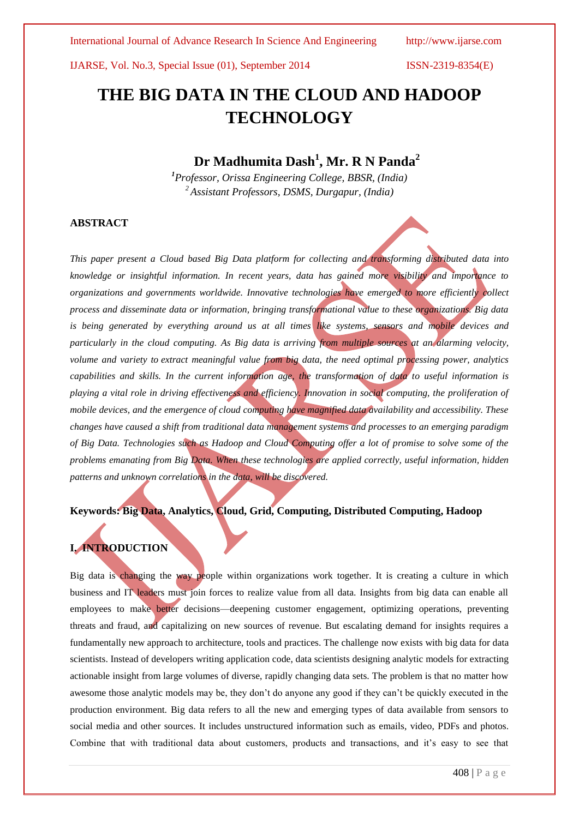# **THE BIG DATA IN THE CLOUD AND HADOOP TECHNOLOGY**

# **Dr Madhumita Dash<sup>1</sup> , Mr. R N Panda<sup>2</sup>**

*<sup>1</sup>Professor, Orissa Engineering College, BBSR, (India) <sup>2</sup>Assistant Professors, DSMS, Durgapur, (India)*

### **ABSTRACT**

*This paper present a Cloud based Big Data platform for collecting and transforming distributed data into knowledge or insightful information. In recent years, data has gained more visibility and importance to organizations and governments worldwide. Innovative technologies have emerged to more efficiently collect process and disseminate data or information, bringing transformational value to these organizations. Big data*  is being generated by everything around us at all times like systems, sensors and mobile devices and *particularly in the cloud computing. As Big data is arriving from multiple sources at an alarming velocity, volume and variety to extract meaningful value from big data, the need optimal processing power, analytics capabilities and skills. In the current information age, the transformation of data to useful information is playing a vital role in driving effectiveness and efficiency. Innovation in social computing, the proliferation of mobile devices, and the emergence of cloud computing have magnified data availability and accessibility. These changes have caused a shift from traditional data management systems and processes to an emerging paradigm of Big Data. Technologies such as Hadoop and Cloud Computing offer a lot of promise to solve some of the problems emanating from Big Data. When these technologies are applied correctly, useful information, hidden patterns and unknown correlations in the data, will be discovered.*

### **Keywords: Big Data, Analytics, Cloud, Grid, Computing, Distributed Computing, Hadoop**

# **I. INTRODUCTION**

Big data is changing the way people within organizations work together. It is creating a culture in which business and IT leaders must join forces to realize value from all data. Insights from big data can enable all employees to make better decisions—deepening customer engagement, optimizing operations, preventing threats and fraud, and capitalizing on new sources of revenue. But escalating demand for insights requires a fundamentally new approach to architecture, tools and practices. The challenge now exists with big data for data scientists. Instead of developers writing application code, data scientists designing analytic models for extracting actionable insight from large volumes of diverse, rapidly changing data sets. The problem is that no matter how awesome those analytic models may be, they don't do anyone any good if they can't be quickly executed in the production environment. Big data refers to all the new and emerging types of data available from sensors to social media and other sources. It includes unstructured information such as emails, video, PDFs and photos. Combine that with traditional data about customers, products and transactions, and it's easy to see that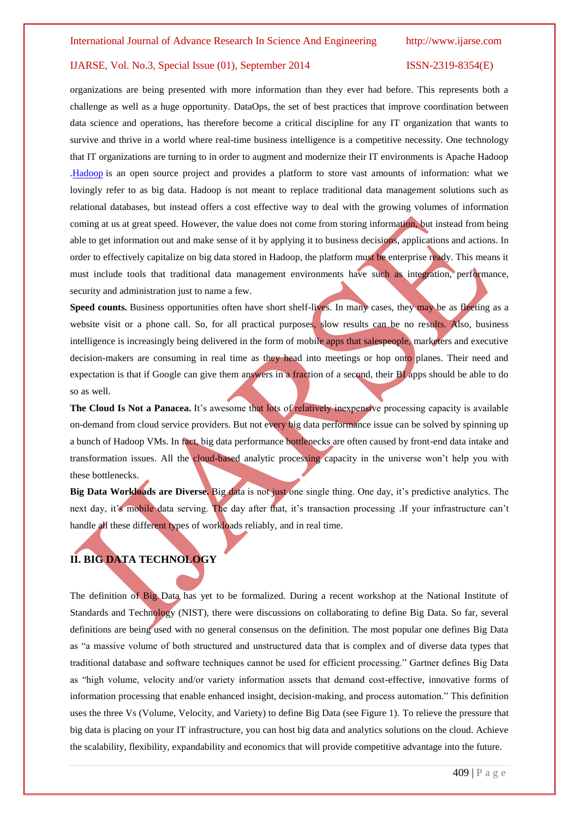organizations are being presented with more information than they ever had before. This represents both a challenge as well as a huge opportunity. DataOps, the set of best practices that improve coordination between data science and operations, has therefore become a critical discipline for any IT organization that wants to survive and thrive in a world where real-time business intelligence is a competitive necessity. One technology that IT organizations are turning to in order to augment and modernize their IT environments is Apache Hadoop [.Hadoop](http://www-01.ibm.com/software/data/infosphere/hadoop/) is an open source project and provides a platform to store vast amounts of information: what we lovingly refer to as big data. Hadoop is not meant to replace traditional data management solutions such as relational databases, but instead offers a cost effective way to deal with the growing volumes of information coming at us at great speed. However, the value does not come from storing information, but instead from being able to get information out and make sense of it by applying it to business decisions, applications and actions. In order to effectively capitalize on big data stored in Hadoop, the platform must be enterprise ready. This means it must include tools that traditional data management environments have such as integration, performance, security and administration just to name a few.

**Speed counts.** Business opportunities often have short shelf-lives. In many cases, they may be as fleeting as a website visit or a phone call. So, for all practical purposes, slow results can be no results. Also, business intelligence is increasingly being delivered in the form of mobile apps that salespeople, marketers and executive decision-makers are consuming in real time as they head into meetings or hop onto planes. Their need and expectation is that if Google can give them answers in a fraction of a second, their BI apps should be able to do so as well.

**The Cloud Is Not a Panacea.** It's awesome that lots of relatively inexpensive processing capacity is available on-demand from cloud service providers. But not every big data performance issue can be solved by spinning up a bunch of Hadoop VMs. In fact, big data performance bottlenecks are often caused by front-end data intake and transformation issues. All the cloud-based analytic processing capacity in the universe won't help you with these bottlenecks.

**Big Data Workloads are Diverse.** Big data is not just one single thing. One day, it's predictive analytics. The next day, it's mobile data serving. The day after that, it's transaction processing .If your infrastructure can't handle all these different types of workloads reliably, and in real time.

# **II. BIG DATA TECHNOLOGY**

The definition of Big Data has yet to be formalized. During a recent workshop at the National Institute of Standards and Technology (NIST), there were discussions on collaborating to define Big Data. So far, several definitions are being used with no general consensus on the definition. The most popular one defines Big Data as "a massive volume of both structured and unstructured data that is complex and of diverse data types that traditional database and software techniques cannot be used for efficient processing." Gartner defines Big Data as "high volume, velocity and/or variety information assets that demand cost-effective, innovative forms of information processing that enable enhanced insight, decision-making, and process automation." This definition uses the three Vs (Volume, Velocity, and Variety) to define Big Data (see Figure 1). To relieve the pressure that big data is placing on your IT infrastructure, you can host big data and analytics solutions on the cloud. Achieve the scalability, flexibility, expandability and economics that will provide competitive advantage into the future.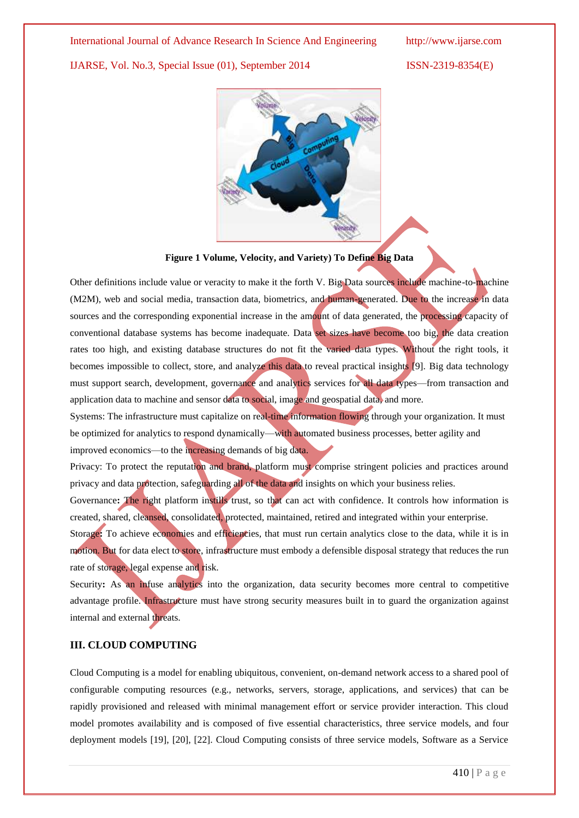

**Figure 1 Volume, Velocity, and Variety) To Define Big Data**

Other definitions include value or veracity to make it the forth V. Big Data sources include machine-to-machine (M2M), web and social media, transaction data, biometrics, and human-generated. Due to the increase in data sources and the corresponding exponential increase in the amount of data generated, the processing capacity of conventional database systems has become inadequate. Data set sizes have become too big, the data creation rates too high, and existing database structures do not fit the varied data types. Without the right tools, it becomes impossible to collect, store, and analyze this data to reveal practical insights [9]. Big data technology must support search, development, governance and analytics services for all data types—from transaction and application data to machine and sensor data to social, image and geospatial data, and more.

Systems: The infrastructure must capitalize on real-time information flowing through your organization. It must be optimized for analytics to respond dynamically—with automated business processes, better agility and improved economics—to the increasing demands of big data.

Privacy: To protect the reputation and brand, platform must comprise stringent policies and practices around privacy and data protection, safeguarding all of the data and insights on which your business relies.

Governance: The right platform instills trust, so that can act with confidence. It controls how information is created, shared, cleansed, consolidated, protected, maintained, retired and integrated within your enterprise.

Storage: To achieve economies and efficiencies, that must run certain analytics close to the data, while it is in motion. But for data elect to store, infrastructure must embody a defensible disposal strategy that reduces the run rate of storage, legal expense and risk.

Security: As an infuse analytics into the organization, data security becomes more central to competitive advantage profile. Infrastructure must have strong security measures built in to guard the organization against internal and external threats.

### **III. CLOUD COMPUTING**

Cloud Computing is a model for enabling ubiquitous, convenient, on-demand network access to a shared pool of configurable computing resources (e.g., networks, servers, storage, applications, and services) that can be rapidly provisioned and released with minimal management effort or service provider interaction. This cloud model promotes availability and is composed of five essential characteristics, three service models, and four deployment models [19], [20], [22]. Cloud Computing consists of three service models, Software as a Service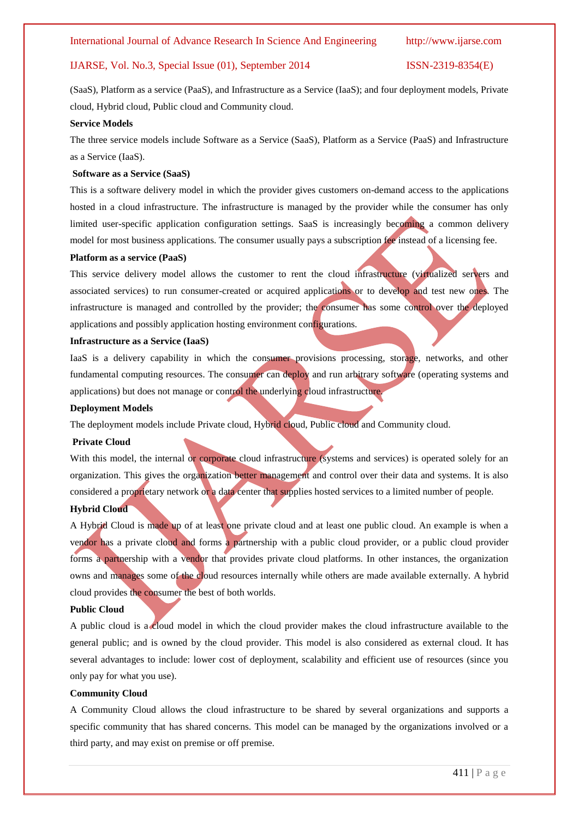(SaaS), Platform as a service (PaaS), and Infrastructure as a Service (IaaS); and four deployment models, Private cloud, Hybrid cloud, Public cloud and Community cloud.

#### **Service Models**

The three service models include Software as a Service (SaaS), Platform as a Service (PaaS) and Infrastructure as a Service (IaaS).

#### **Software as a Service (SaaS)**

This is a software delivery model in which the provider gives customers on-demand access to the applications hosted in a cloud infrastructure. The infrastructure is managed by the provider while the consumer has only limited user-specific application configuration settings. SaaS is increasingly becoming a common delivery model for most business applications. The consumer usually pays a subscription fee instead of a licensing fee.

#### **Platform as a service (PaaS)**

This service delivery model allows the customer to rent the cloud infrastructure (virtualized servers and associated services) to run consumer-created or acquired applications or to develop and test new ones. The infrastructure is managed and controlled by the provider; the consumer has some control over the deployed applications and possibly application hosting environment configurations.

#### **Infrastructure as a Service (IaaS)**

IaaS is a delivery capability in which the consumer provisions processing, storage, networks, and other fundamental computing resources. The consumer can deploy and run arbitrary software (operating systems and applications) but does not manage or control the underlying cloud infrastructure.

#### **Deployment Models**

The deployment models include Private cloud, Hybrid cloud, Public cloud and Community cloud.

#### **Private Cloud**

With this model, the internal or corporate cloud infrastructure (systems and services) is operated solely for an organization. This gives the organization better management and control over their data and systems. It is also considered a proprietary network or a data center that supplies hosted services to a limited number of people. **Hybrid Cloud** 

A Hybrid Cloud is made up of at least one private cloud and at least one public cloud. An example is when a vendor has a private cloud and forms a partnership with a public cloud provider, or a public cloud provider forms a partnership with a vendor that provides private cloud platforms. In other instances, the organization owns and manages some of the cloud resources internally while others are made available externally. A hybrid cloud provides the consumer the best of both worlds.

#### **Public Cloud**

A public cloud is a cloud model in which the cloud provider makes the cloud infrastructure available to the general public; and is owned by the cloud provider. This model is also considered as external cloud. It has several advantages to include: lower cost of deployment, scalability and efficient use of resources (since you only pay for what you use).

#### **Community Cloud**

A Community Cloud allows the cloud infrastructure to be shared by several organizations and supports a specific community that has shared concerns. This model can be managed by the organizations involved or a third party, and may exist on premise or off premise.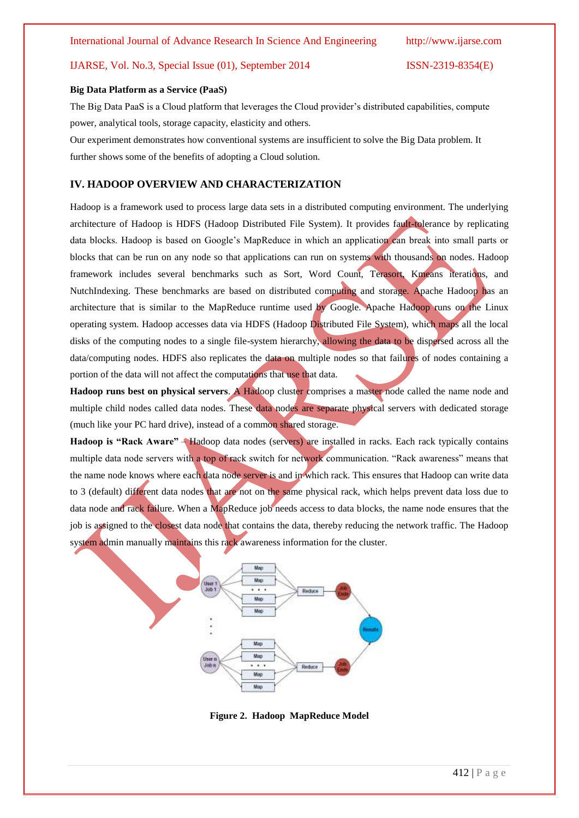#### **Big Data Platform as a Service (PaaS)**

The Big Data PaaS is a Cloud platform that leverages the Cloud provider's distributed capabilities, compute power, analytical tools, storage capacity, elasticity and others.

Our experiment demonstrates how conventional systems are insufficient to solve the Big Data problem. It further shows some of the benefits of adopting a Cloud solution.

### **IV. HADOOP OVERVIEW AND CHARACTERIZATION**

Hadoop is a framework used to process large data sets in a distributed computing environment. The underlying architecture of Hadoop is HDFS (Hadoop Distributed File System). It provides fault-tolerance by replicating data blocks. Hadoop is based on Google's MapReduce in which an application can break into small parts or blocks that can be run on any node so that applications can run on systems with thousands on nodes. Hadoop framework includes several benchmarks such as Sort, Word Count, Terasort, Kmeans iterations, and NutchIndexing. These benchmarks are based on distributed computing and storage. Apache Hadoop has an architecture that is similar to the MapReduce runtime used by Google. Apache Hadoop runs on the Linux operating system. Hadoop accesses data via HDFS (Hadoop Distributed File System), which maps all the local disks of the computing nodes to a single file-system hierarchy, allowing the data to be dispersed across all the data/computing nodes. HDFS also replicates the data on multiple nodes so that failures of nodes containing a portion of the data will not affect the computations that use that data.

**Hadoop runs best on physical servers**. A Hadoop cluster comprises a master node called the name node and multiple child nodes called data nodes. These data nodes are separate physical servers with dedicated storage (much like your PC hard drive), instead of a common shared storage.

**Hadoop is "Rack Aware"** – Hadoop data nodes (servers) are installed in racks. Each rack typically contains multiple data node servers with a top of rack switch for network communication. "Rack awareness" means that the name node knows where each data node server is and in which rack. This ensures that Hadoop can write data to 3 (default) different data nodes that are not on the same physical rack, which helps prevent data loss due to data node and rack failure. When a MapReduce job needs access to data blocks, the name node ensures that the job is assigned to the closest data node that contains the data, thereby reducing the network traffic. The Hadoop system admin manually maintains this rack awareness information for the cluster.



**Figure 2. Hadoop MapReduce Model**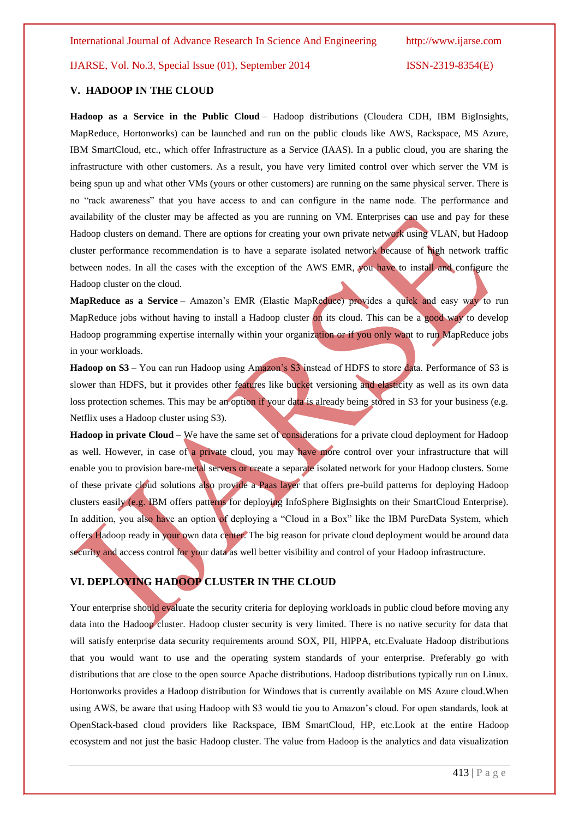#### **V. HADOOP IN THE CLOUD**

**Hadoop as a Service in the Public Cloud** – Hadoop distributions (Cloudera CDH, IBM BigInsights, MapReduce, Hortonworks) can be launched and run on the public clouds like AWS, Rackspace, MS Azure, IBM SmartCloud, etc., which offer Infrastructure as a Service (IAAS). In a public cloud, you are sharing the infrastructure with other customers. As a result, you have very limited control over which server the VM is being spun up and what other VMs (yours or other customers) are running on the same physical server. There is no "rack awareness" that you have access to and can configure in the name node. The performance and availability of the cluster may be affected as you are running on VM. Enterprises can use and pay for these Hadoop clusters on demand. There are options for creating your own private network using VLAN, but Hadoop cluster performance recommendation is to have a separate isolated network because of high network traffic between nodes. In all the cases with the exception of the AWS EMR, you have to install and configure the Hadoop cluster on the cloud.

**MapReduce as a Service** – Amazon's EMR (Elastic MapReduce) provides a quick and easy way to run MapReduce jobs without having to install a Hadoop cluster on its cloud. This can be a good way to develop Hadoop programming expertise internally within your organization or if you only want to run MapReduce jobs in your workloads.

**Hadoop on S3** – You can run Hadoop using Amazon's S3 instead of HDFS to store data. Performance of S3 is slower than HDFS, but it provides other features like bucket versioning and elasticity as well as its own data loss protection schemes. This may be an option if your data is already being stored in S3 for your business (e.g. Netflix uses a Hadoop cluster using S3).

**Hadoop in private Cloud** – We have the same set of considerations for a private cloud deployment for Hadoop as well. However, in case of a private cloud, you may have more control over your infrastructure that will enable you to provision bare-metal servers or create a separate isolated network for your Hadoop clusters. Some of these private cloud solutions also provide a Paas layer that offers pre-build patterns for deploying Hadoop clusters easily (e.g. IBM offers patterns for deploying InfoSphere BigInsights on their SmartCloud Enterprise). In addition, you also have an option of deploying a "Cloud in a Box" like the IBM PureData System, which offers Hadoop ready in your own data center. The big reason for private cloud deployment would be around data security and access control for your data as well better visibility and control of your Hadoop infrastructure.

### **VI. DEPLOYING HADOOP CLUSTER IN THE CLOUD**

Your enterprise should evaluate the security criteria for deploying workloads in public cloud before moving any data into the Hadoop cluster. Hadoop cluster security is very limited. There is no native security for data that will satisfy enterprise data security requirements around SOX, PII, HIPPA, etc.Evaluate Hadoop distributions that you would want to use and the operating system standards of your enterprise. Preferably go with distributions that are close to the open source Apache distributions. Hadoop distributions typically run on Linux. Hortonworks provides a Hadoop distribution for Windows that is currently available on MS Azure cloud.When using AWS, be aware that using Hadoop with S3 would tie you to Amazon's cloud. For open standards, look at OpenStack-based cloud providers like Rackspace, IBM SmartCloud, HP, etc.Look at the entire Hadoop ecosystem and not just the basic Hadoop cluster. The value from Hadoop is the analytics and data visualization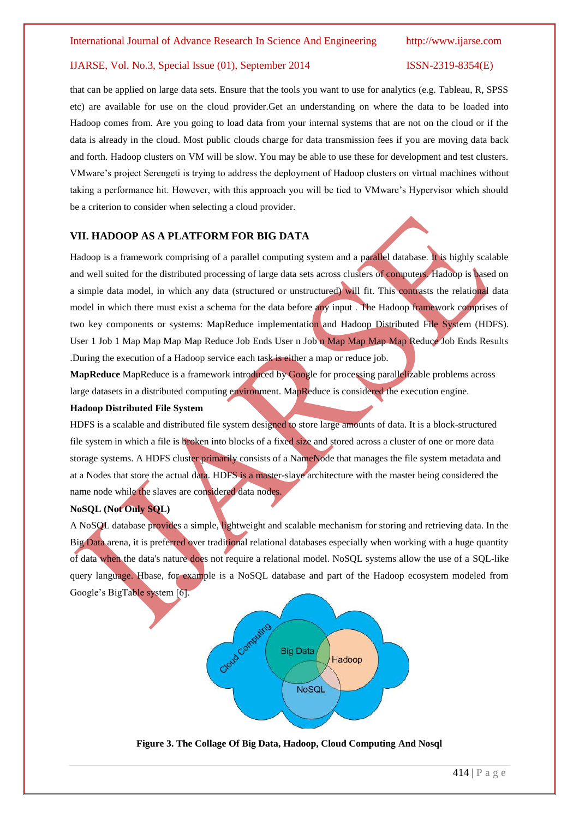that can be applied on large data sets. Ensure that the tools you want to use for analytics (e.g. Tableau, R, SPSS etc) are available for use on the cloud provider.Get an understanding on where the data to be loaded into Hadoop comes from. Are you going to load data from your internal systems that are not on the cloud or if the data is already in the cloud. Most public clouds charge for data transmission fees if you are moving data back and forth. Hadoop clusters on VM will be slow. You may be able to use these for development and test clusters. VMware's project Serengeti is trying to address the deployment of Hadoop clusters on virtual machines without taking a performance hit. However, with this approach you will be tied to VMware's Hypervisor which should be a criterion to consider when selecting a cloud provider.

#### **VII. HADOOP AS A PLATFORM FOR BIG DATA**

Hadoop is a framework comprising of a parallel computing system and a parallel database. It is highly scalable and well suited for the distributed processing of large data sets across clusters of computers. Hadoop is based on a simple data model, in which any data (structured or unstructured) will fit. This contrasts the relational data model in which there must exist a schema for the data before any input . The Hadoop framework comprises of two key components or systems: MapReduce implementation and Hadoop Distributed File System (HDFS). User 1 Job 1 Map Map Map Map Reduce Job Ends User n Job n Map Map Map Map Reduce Job Ends Results .During the execution of a Hadoop service each task is either a map or reduce job.

**MapReduce** MapReduce is a framework introduced by Google for processing parallelizable problems across large datasets in a distributed computing environment. MapReduce is considered the execution engine.

### **Hadoop Distributed File System**

HDFS is a scalable and distributed file system designed to store large amounts of data. It is a block-structured file system in which a file is broken into blocks of a fixed size and stored across a cluster of one or more data storage systems. A HDFS cluster primarily consists of a NameNode that manages the file system metadata and at a Nodes that store the actual data. HDFS is a master-slave architecture with the master being considered the name node while the slaves are considered data nodes.

#### **NoSQL (Not Only SQL)**

A NoSQL database provides a simple, lightweight and scalable mechanism for storing and retrieving data. In the Big Data arena, it is preferred over traditional relational databases especially when working with a huge quantity of data when the data's nature does not require a relational model. NoSQL systems allow the use of a SQL-like query language. Hbase, for example is a NoSQL database and part of the Hadoop ecosystem modeled from Google's BigTable system [6].



**Figure 3. The Collage Of Big Data, Hadoop, Cloud Computing And Nosql**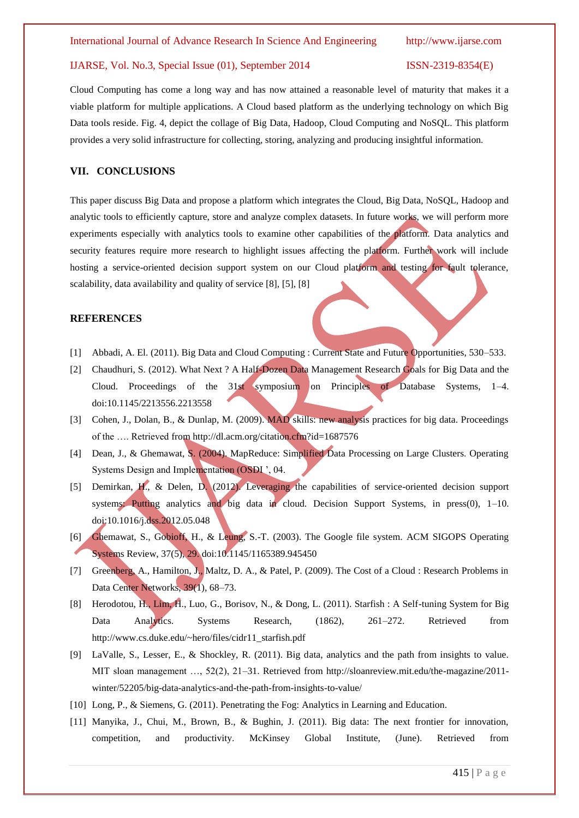Cloud Computing has come a long way and has now attained a reasonable level of maturity that makes it a viable platform for multiple applications. A Cloud based platform as the underlying technology on which Big Data tools reside. Fig. 4, depict the collage of Big Data, Hadoop, Cloud Computing and NoSQL. This platform provides a very solid infrastructure for collecting, storing, analyzing and producing insightful information.

#### **VII. CONCLUSIONS**

This paper discuss Big Data and propose a platform which integrates the Cloud, Big Data, NoSQL, Hadoop and analytic tools to efficiently capture, store and analyze complex datasets. In future works, we will perform more experiments especially with analytics tools to examine other capabilities of the platform. Data analytics and security features require more research to highlight issues affecting the platform. Further work will include hosting a service-oriented decision support system on our Cloud platform and testing for fault tolerance, scalability, data availability and quality of service [8], [5], [8]

#### **REFERENCES**

- [1] Abbadi, A. El. (2011). Big Data and Cloud Computing : Current State and Future Opportunities, 530–533.
- [2] Chaudhuri, S. (2012). What Next ? A Half-Dozen Data Management Research Goals for Big Data and the Cloud. Proceedings of the 31st symposium on Principles of Database Systems, 1–4. doi:10.1145/2213556.2213558
- [3] Cohen, J., Dolan, B., & Dunlap, M. (2009). MAD skills: new analysis practices for big data. Proceedings of the …. Retrieved from http://dl.acm.org/citation.cfm?id=1687576
- [4] Dean, J., & Ghemawat, S. (2004). MapReduce: Simplified Data Processing on Large Clusters. Operating Systems Design and Implementation (OSDI ', 04.
- [5] Demirkan, H., & Delen, D. (2012). Leveraging the capabilities of service-oriented decision support systems: Putting analytics and big data in cloud. Decision Support Systems, in press $(0)$ , 1–10. doi:10.1016/j.dss.2012.05.048
- [6] Ghemawat, S., Gobioff, H., & Leung, S.-T. (2003). The Google file system. ACM SIGOPS Operating Systems Review, 37(5), 29. doi:10.1145/1165389.945450
- [7] Greenberg, A., Hamilton, J., Maltz, D. A., & Patel, P. (2009). The Cost of a Cloud : Research Problems in Data Center Networks, 39(1), 68–73.
- [8] Herodotou, H., Lim, H., Luo, G., Borisov, N., & Dong, L. (2011). Starfish : A Self-tuning System for Big Data Analytics. Systems Research, (1862), 261–272. Retrieved from http://www.cs.duke.edu/~hero/files/cidr11\_starfish.pdf
- [9] LaValle, S., Lesser, E., & Shockley, R. (2011). Big data, analytics and the path from insights to value. MIT sloan management …, 52(2), 21–31. Retrieved from http://sloanreview.mit.edu/the-magazine/2011 winter/52205/big-data-analytics-and-the-path-from-insights-to-value/
- [10] Long, P., & Siemens, G. (2011). Penetrating the Fog: Analytics in Learning and Education.
- [11] Manyika, J., Chui, M., Brown, B., & Bughin, J. (2011). Big data: The next frontier for innovation, competition, and productivity. McKinsey Global Institute, (June). Retrieved from